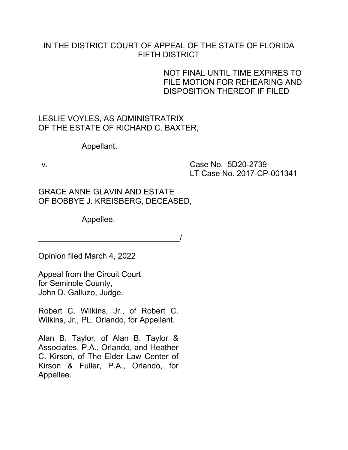## IN THE DISTRICT COURT OF APPEAL OF THE STATE OF FLORIDA FIFTH DISTRICT

## NOT FINAL UNTIL TIME EXPIRES TO FILE MOTION FOR REHEARING AND DISPOSITION THEREOF IF FILED

LESLIE VOYLES, AS ADMINISTRATRIX OF THE ESTATE OF RICHARD C. BAXTER,

Appellant,

v. Case No. 5D20-2739 LT Case No. 2017-CP-001341

GRACE ANNE GLAVIN AND ESTATE OF BOBBYE J. KREISBERG, DECEASED,

\_\_\_\_\_\_\_\_\_\_\_\_\_\_\_\_\_\_\_\_\_\_\_\_\_\_\_\_\_\_\_\_/

Appellee.

Opinion filed March 4, 2022

Appeal from the Circuit Court for Seminole County, John D. Galluzo, Judge.

Robert C. Wilkins, Jr., of Robert C. Wilkins, Jr., PL, Orlando, for Appellant.

Alan B. Taylor, of Alan B. Taylor & Associates, P.A., Orlando, and Heather C. Kirson, of The Elder Law Center of Kirson & Fuller, P.A., Orlando, for Appellee.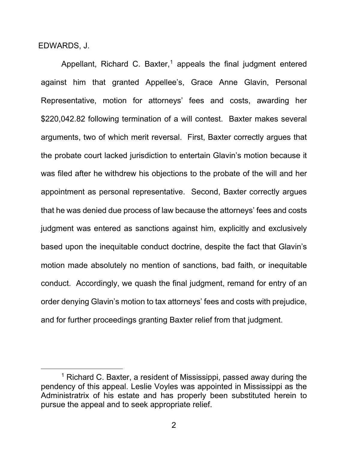EDWARDS, J.

Appellant, Richard C. Baxter,<sup>[1](#page-1-0)</sup> appeals the final judgment entered against him that granted Appellee's, Grace Anne Glavin, Personal Representative, motion for attorneys' fees and costs, awarding her \$220,042.82 following termination of a will contest. Baxter makes several arguments, two of which merit reversal. First, Baxter correctly argues that the probate court lacked jurisdiction to entertain Glavin's motion because it was filed after he withdrew his objections to the probate of the will and her appointment as personal representative. Second, Baxter correctly argues that he was denied due process of law because the attorneys' fees and costs judgment was entered as sanctions against him, explicitly and exclusively based upon the inequitable conduct doctrine, despite the fact that Glavin's motion made absolutely no mention of sanctions, bad faith, or inequitable conduct. Accordingly, we quash the final judgment, remand for entry of an order denying Glavin's motion to tax attorneys' fees and costs with prejudice, and for further proceedings granting Baxter relief from that judgment.

<span id="page-1-0"></span> $1$  Richard C. Baxter, a resident of Mississippi, passed away during the pendency of this appeal. Leslie Voyles was appointed in Mississippi as the Administratrix of his estate and has properly been substituted herein to pursue the appeal and to seek appropriate relief.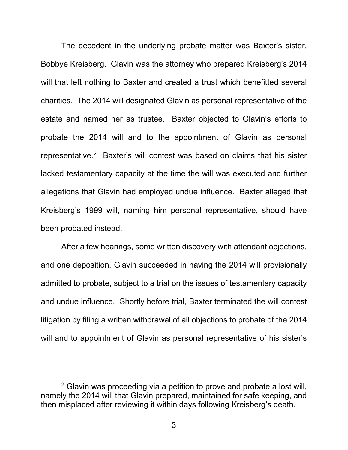The decedent in the underlying probate matter was Baxter's sister, Bobbye Kreisberg. Glavin was the attorney who prepared Kreisberg's 2014 will that left nothing to Baxter and created a trust which benefitted several charities. The 2014 will designated Glavin as personal representative of the estate and named her as trustee. Baxter objected to Glavin's efforts to probate the 2014 will and to the appointment of Glavin as personal representative.<sup>[2](#page-2-0)</sup> Baxter's will contest was based on claims that his sister lacked testamentary capacity at the time the will was executed and further allegations that Glavin had employed undue influence. Baxter alleged that Kreisberg's 1999 will, naming him personal representative, should have been probated instead.

After a few hearings, some written discovery with attendant objections, and one deposition, Glavin succeeded in having the 2014 will provisionally admitted to probate, subject to a trial on the issues of testamentary capacity and undue influence. Shortly before trial, Baxter terminated the will contest litigation by filing a written withdrawal of all objections to probate of the 2014 will and to appointment of Glavin as personal representative of his sister's

<span id="page-2-0"></span><sup>&</sup>lt;sup>2</sup> Glavin was proceeding via a petition to prove and probate a lost will, namely the 2014 will that Glavin prepared, maintained for safe keeping, and then misplaced after reviewing it within days following Kreisberg's death.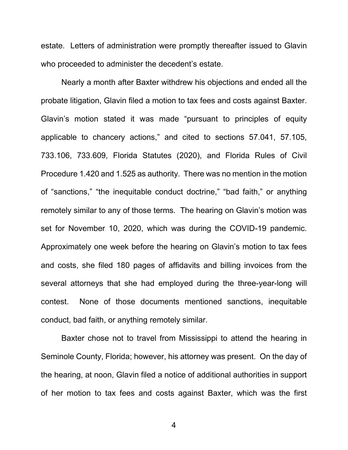estate. Letters of administration were promptly thereafter issued to Glavin who proceeded to administer the decedent's estate.

Nearly a month after Baxter withdrew his objections and ended all the probate litigation, Glavin filed a motion to tax fees and costs against Baxter. Glavin's motion stated it was made "pursuant to principles of equity applicable to chancery actions," and cited to sections 57.041, 57.105, 733.106, 733.609, Florida Statutes (2020), and Florida Rules of Civil Procedure 1.420 and 1.525 as authority. There was no mention in the motion of "sanctions," "the inequitable conduct doctrine," "bad faith," or anything remotely similar to any of those terms. The hearing on Glavin's motion was set for November 10, 2020, which was during the COVID-19 pandemic. Approximately one week before the hearing on Glavin's motion to tax fees and costs, she filed 180 pages of affidavits and billing invoices from the several attorneys that she had employed during the three-year-long will contest. None of those documents mentioned sanctions, inequitable conduct, bad faith, or anything remotely similar.

Baxter chose not to travel from Mississippi to attend the hearing in Seminole County, Florida; however, his attorney was present. On the day of the hearing, at noon, Glavin filed a notice of additional authorities in support of her motion to tax fees and costs against Baxter, which was the first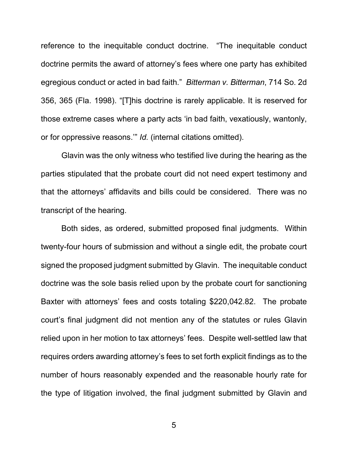reference to the inequitable conduct doctrine. "The inequitable conduct doctrine permits the award of attorney's fees where one party has exhibited egregious conduct or acted in bad faith." *Bitterman v. Bitterman*, 714 So. 2d 356, 365 (Fla. 1998). "[T]his doctrine is rarely applicable. It is reserved for those extreme cases where a party acts 'in bad faith, vexatiously, wantonly, or for oppressive reasons.'" *Id.* (internal citations omitted).

Glavin was the only witness who testified live during the hearing as the parties stipulated that the probate court did not need expert testimony and that the attorneys' affidavits and bills could be considered. There was no transcript of the hearing.

Both sides, as ordered, submitted proposed final judgments. Within twenty-four hours of submission and without a single edit, the probate court signed the proposed judgment submitted by Glavin. The inequitable conduct doctrine was the sole basis relied upon by the probate court for sanctioning Baxter with attorneys' fees and costs totaling \$220,042.82. The probate court's final judgment did not mention any of the statutes or rules Glavin relied upon in her motion to tax attorneys' fees. Despite well-settled law that requires orders awarding attorney's fees to set forth explicit findings as to the number of hours reasonably expended and the reasonable hourly rate for the type of litigation involved, the final judgment submitted by Glavin and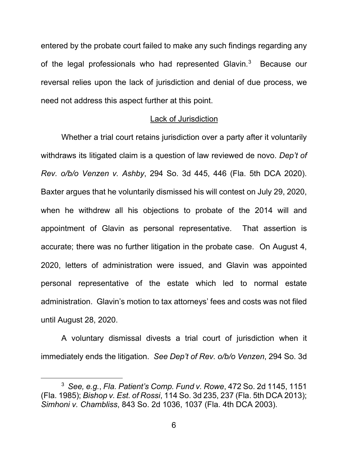entered by the probate court failed to make any such findings regarding any of the legal professionals who had represented Glavin.<sup>[3](#page-5-0)</sup> Because our reversal relies upon the lack of jurisdiction and denial of due process, we need not address this aspect further at this point.

## Lack of Jurisdiction

Whether a trial court retains jurisdiction over a party after it voluntarily withdraws its litigated claim is a question of law reviewed de novo. *Dep't of Rev. o/b/o Venzen v. Ashby*, 294 So. 3d 445, 446 (Fla. 5th DCA 2020). Baxter argues that he voluntarily dismissed his will contest on July 29, 2020, when he withdrew all his objections to probate of the 2014 will and appointment of Glavin as personal representative. That assertion is accurate; there was no further litigation in the probate case. On August 4, 2020, letters of administration were issued, and Glavin was appointed personal representative of the estate which led to normal estate administration. Glavin's motion to tax attorneys' fees and costs was not filed until August 28, 2020.

A voluntary dismissal divests a trial court of jurisdiction when it immediately ends the litigation. *See Dep't of Rev. o/b/o Venzen*, 294 So. 3d

<span id="page-5-0"></span><sup>3</sup> *See, e.g.*, *Fla. Patient's Comp. Fund v. Rowe*, 472 So. 2d 1145, 1151 (Fla. 1985); *Bishop v. Est. of Rossi*, 114 So. 3d 235, 237 (Fla. 5th DCA 2013); *Simhoni v. Chambliss*, 843 So. 2d 1036, 1037 (Fla. 4th DCA 2003).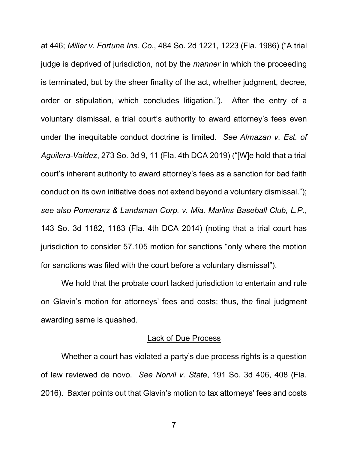at 446; *Miller v. Fortune Ins. Co.*, 484 So. 2d 1221, 1223 (Fla. 1986) ("A trial judge is deprived of jurisdiction, not by the *manner* in which the proceeding is terminated, but by the sheer finality of the act, whether judgment, decree, order or stipulation, which concludes litigation."). After the entry of a voluntary dismissal, a trial court's authority to award attorney's fees even under the inequitable conduct doctrine is limited. *See Almazan v. Est. of Aguilera-Valdez*, 273 So. 3d 9, 11 (Fla. 4th DCA 2019) ("[W]e hold that a trial court's inherent authority to award attorney's fees as a sanction for bad faith conduct on its own initiative does not extend beyond a voluntary dismissal."); *see also Pomeranz & Landsman Corp. v. Mia. Marlins Baseball Club, L.P.*, 143 So. 3d 1182, 1183 (Fla. 4th DCA 2014) (noting that a trial court has jurisdiction to consider 57.105 motion for sanctions "only where the motion for sanctions was filed with the court before a voluntary dismissal").

We hold that the probate court lacked jurisdiction to entertain and rule on Glavin's motion for attorneys' fees and costs; thus, the final judgment awarding same is quashed.

## Lack of Due Process

Whether a court has violated a party's due process rights is a question of law reviewed de novo. *See Norvil v. State*, 191 So. 3d 406, 408 (Fla. 2016). Baxter points out that Glavin's motion to tax attorneys' fees and costs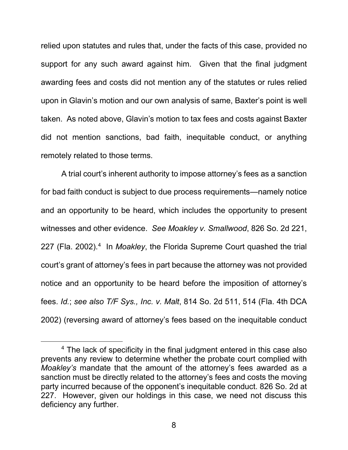relied upon statutes and rules that, under the facts of this case, provided no support for any such award against him. Given that the final judgment awarding fees and costs did not mention any of the statutes or rules relied upon in Glavin's motion and our own analysis of same, Baxter's point is well taken. As noted above, Glavin's motion to tax fees and costs against Baxter did not mention sanctions, bad faith, inequitable conduct, or anything remotely related to those terms.

A trial court's inherent authority to impose attorney's fees as a sanction for bad faith conduct is subject to due process requirements—namely notice and an opportunity to be heard, which includes the opportunity to present witnesses and other evidence. *See Moakley v. Smallwood*, 826 So. 2d 221, 227 (Fla. 2002). [4](#page-7-0) In *Moakley*, the Florida Supreme Court quashed the trial court's grant of attorney's fees in part because the attorney was not provided notice and an opportunity to be heard before the imposition of attorney's fees. *Id.*; *see also T/F Sys., Inc. v. Malt*, 814 So. 2d 511, 514 (Fla. 4th DCA 2002) (reversing award of attorney's fees based on the inequitable conduct

<span id="page-7-0"></span><sup>&</sup>lt;sup>4</sup> The lack of specificity in the final judgment entered in this case also prevents any review to determine whether the probate court complied with *Moakley's* mandate that the amount of the attorney's fees awarded as a sanction must be directly related to the attorney's fees and costs the moving party incurred because of the opponent's inequitable conduct. 826 So. 2d at 227. However, given our holdings in this case, we need not discuss this deficiency any further.